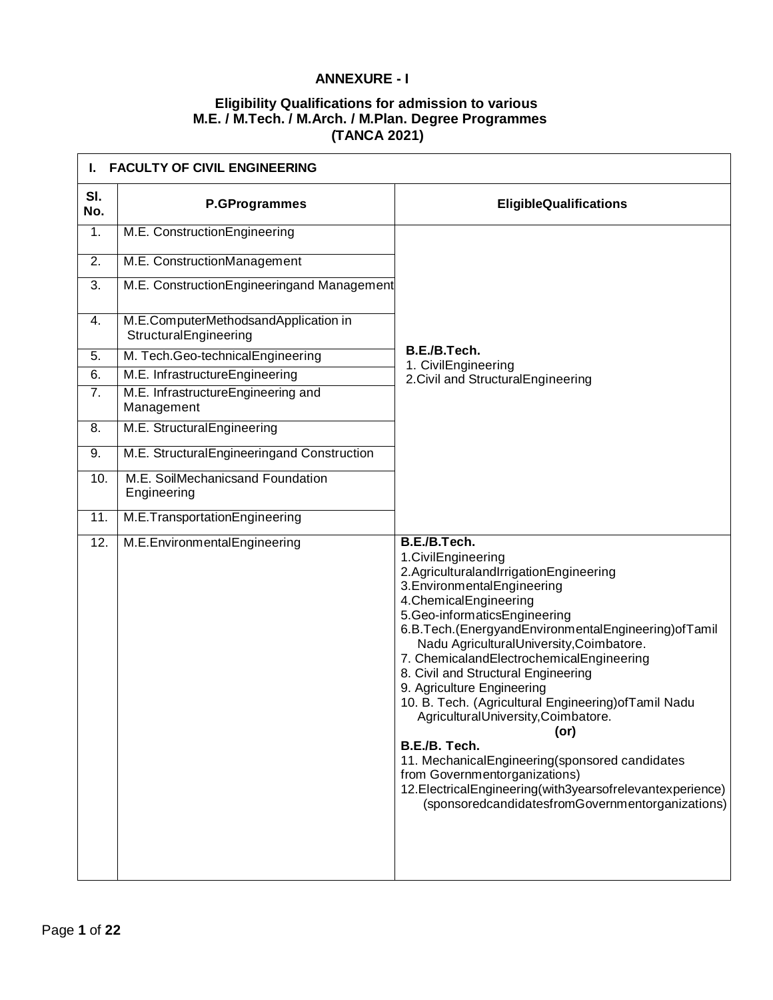## **ANNEXURE - I**

## **Eligibility Qualifications for admission to various M.E. / M.Tech. / M.Arch. / M.Plan. Degree Programmes (TANCA 2021)**

|            | <b>FACULTY OF CIVIL ENGINEERING</b>                           |                                                                                                                                                                                                                                                                                                                                                                                                                                                                                                                                                                                                                                                                                                                                         |  |
|------------|---------------------------------------------------------------|-----------------------------------------------------------------------------------------------------------------------------------------------------------------------------------------------------------------------------------------------------------------------------------------------------------------------------------------------------------------------------------------------------------------------------------------------------------------------------------------------------------------------------------------------------------------------------------------------------------------------------------------------------------------------------------------------------------------------------------------|--|
| SI.<br>No. | P.GProgrammes                                                 | <b>EligibleQualifications</b>                                                                                                                                                                                                                                                                                                                                                                                                                                                                                                                                                                                                                                                                                                           |  |
| 1.         | M.E. ConstructionEngineering                                  |                                                                                                                                                                                                                                                                                                                                                                                                                                                                                                                                                                                                                                                                                                                                         |  |
| 2.         | M.E. ConstructionManagement                                   |                                                                                                                                                                                                                                                                                                                                                                                                                                                                                                                                                                                                                                                                                                                                         |  |
| 3.         | M.E. ConstructionEngineeringand Management                    |                                                                                                                                                                                                                                                                                                                                                                                                                                                                                                                                                                                                                                                                                                                                         |  |
| 4.         | M.E.ComputerMethodsandApplication in<br>StructuralEngineering |                                                                                                                                                                                                                                                                                                                                                                                                                                                                                                                                                                                                                                                                                                                                         |  |
| 5.         | M. Tech.Geo-technicalEngineering                              | B.E./B.Tech.<br>1. CivilEngineering                                                                                                                                                                                                                                                                                                                                                                                                                                                                                                                                                                                                                                                                                                     |  |
| 6.         | M.E. InfrastructureEngineering                                | 2. Civil and Structural Engineering                                                                                                                                                                                                                                                                                                                                                                                                                                                                                                                                                                                                                                                                                                     |  |
| 7.         | M.E. InfrastructureEngineering and<br>Management              |                                                                                                                                                                                                                                                                                                                                                                                                                                                                                                                                                                                                                                                                                                                                         |  |
| 8.         | M.E. StructuralEngineering                                    |                                                                                                                                                                                                                                                                                                                                                                                                                                                                                                                                                                                                                                                                                                                                         |  |
| 9.         | M.E. StructuralEngineeringand Construction                    |                                                                                                                                                                                                                                                                                                                                                                                                                                                                                                                                                                                                                                                                                                                                         |  |
| 10.        | M.E. SoilMechanicsand Foundation<br>Engineering               |                                                                                                                                                                                                                                                                                                                                                                                                                                                                                                                                                                                                                                                                                                                                         |  |
| 11.        | M.E.TransportationEngineering                                 |                                                                                                                                                                                                                                                                                                                                                                                                                                                                                                                                                                                                                                                                                                                                         |  |
| 12.        | M.E.EnvironmentalEngineering                                  | B.E./B.Tech.<br>1.CivilEngineering<br>2.AgriculturalandIrrigationEngineering<br>3. Environmental Engineering<br>4. Chemical Engineering<br>5.Geo-informaticsEngineering<br>6.B.Tech.(EnergyandEnvironmentalEngineering) of Tamil<br>Nadu AgriculturalUniversity, Coimbatore.<br>7. ChemicalandElectrochemicalEngineering<br>8. Civil and Structural Engineering<br>9. Agriculture Engineering<br>10. B. Tech. (Agricultural Engineering) of Tamil Nadu<br>AgriculturalUniversity, Coimbatore.<br>$($ or $)$<br>B.E./B. Tech.<br>11. MechanicalEngineering(sponsored candidates<br>from Governmentorganizations)<br>12. Electrical Engineering (with 3y ears of relevant experience)<br>(sponsoredcandidatesfromGovernmentorganizations) |  |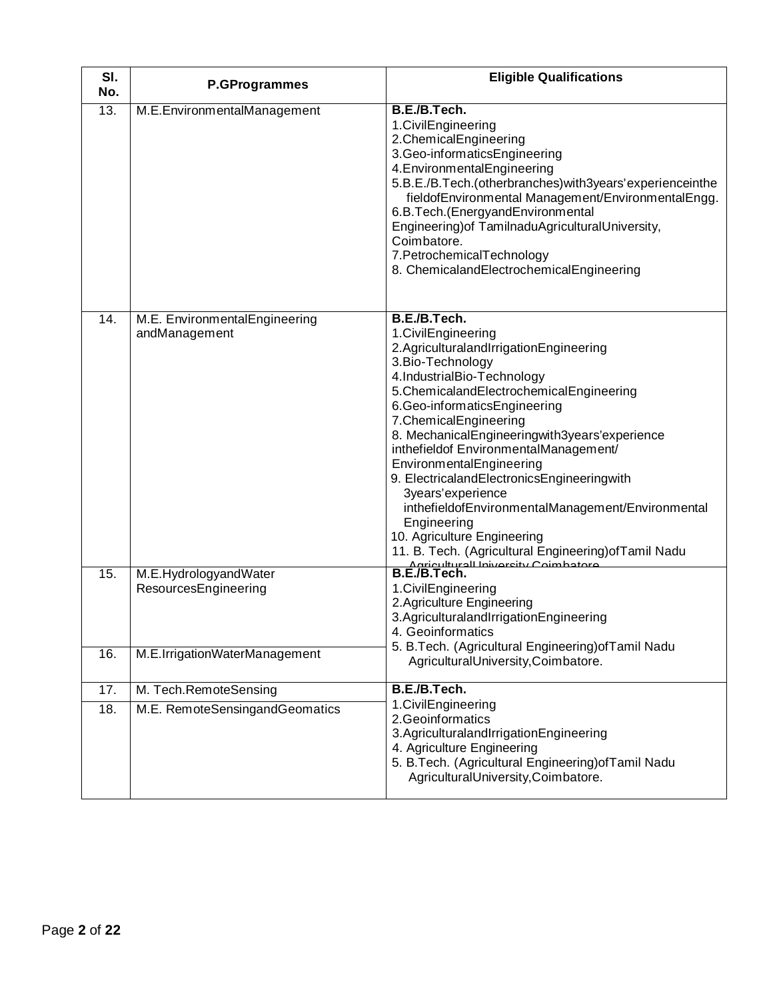| SI.<br>No. | <b>P.GProgrammes</b>                           | <b>Eligible Qualifications</b>                                                                                                                                                                                                                                                                                                                                                                                                                                                                                                                                                                                                       |
|------------|------------------------------------------------|--------------------------------------------------------------------------------------------------------------------------------------------------------------------------------------------------------------------------------------------------------------------------------------------------------------------------------------------------------------------------------------------------------------------------------------------------------------------------------------------------------------------------------------------------------------------------------------------------------------------------------------|
| 13.        | M.E.EnvironmentalManagement                    | B.E./B.Tech.<br>1. Civil Engineering<br>2.ChemicalEngineering<br>3.Geo-informaticsEngineering<br>4. Environmental Engineering<br>5.B.E./B.Tech.(otherbranches) with 3years' experience in the<br>fieldofEnvironmental Management/EnvironmentalEngg.<br>6.B.Tech.(EnergyandEnvironmental<br>Engineering) of TamilnaduAgriculturalUniversity,<br>Coimbatore.<br>7. Petrochemical Technology<br>8. ChemicalandElectrochemicalEngineering                                                                                                                                                                                                |
| 14.        | M.E. EnvironmentalEngineering<br>andManagement | B.E./B.Tech.<br>1.CivilEngineering<br>2.AgriculturalandIrrigationEngineering<br>3. Bio-Technology<br>4.IndustrialBio-Technology<br>5. Chemicaland Electrochemical Engineering<br>6.Geo-informaticsEngineering<br>7. Chemical Engineering<br>8. MechanicalEngineeringwith3years'experience<br>inthefieldof EnvironmentalManagement/<br>EnvironmentalEngineering<br>9. ElectricalandElectronicsEngineeringwith<br>3years'experience<br>inthefieldofEnvironmentalManagement/Environmental<br>Engineering<br>10. Agriculture Engineering<br>11. B. Tech. (Agricultural Engineering) of Tamil Nadu<br>Agriculturall Iniversity Coimbatore |
| 15.        | M.E.HydrologyandWater<br>ResourcesEngineering  | B.E./B.Tech.<br>1. Civil Engineering<br>2. Agriculture Engineering<br>3. Agricultural and Irrigation Engineering<br>4. Geoinformatics                                                                                                                                                                                                                                                                                                                                                                                                                                                                                                |
| 16.        | M.E.IrrigationWaterManagement                  | 5. B.Tech. (Agricultural Engineering) of Tamil Nadu<br>AgriculturalUniversity,Coimbatore.                                                                                                                                                                                                                                                                                                                                                                                                                                                                                                                                            |
| 17.        | M. Tech.RemoteSensing                          | B.E./B.Tech.                                                                                                                                                                                                                                                                                                                                                                                                                                                                                                                                                                                                                         |
| 18.        | M.E. RemoteSensingandGeomatics                 | 1. Civil Engineering<br>2. Geoinformatics<br>3.AgriculturalandIrrigationEngineering<br>4. Agriculture Engineering<br>5. B.Tech. (Agricultural Engineering) of Tamil Nadu<br>AgriculturalUniversity,Coimbatore.                                                                                                                                                                                                                                                                                                                                                                                                                       |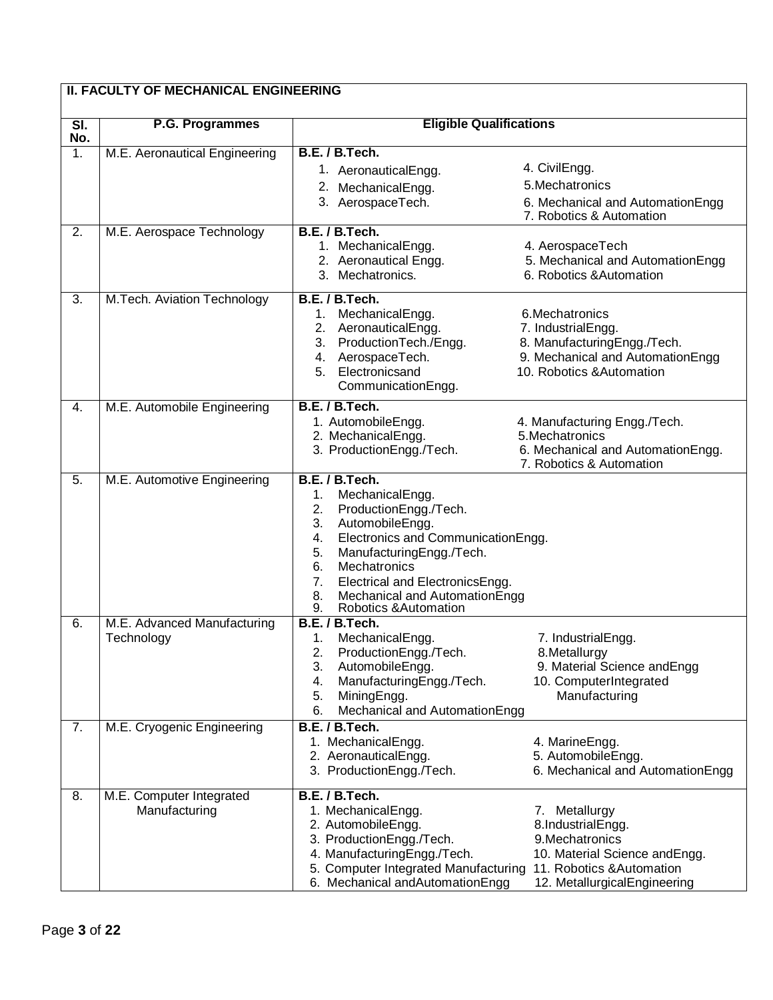| <b>II. FACULTY OF MECHANICAL ENGINEERING</b> |                                           |                                                                                                                                                                                                                                                                                                                    |                                                                                                                                                     |
|----------------------------------------------|-------------------------------------------|--------------------------------------------------------------------------------------------------------------------------------------------------------------------------------------------------------------------------------------------------------------------------------------------------------------------|-----------------------------------------------------------------------------------------------------------------------------------------------------|
| SI.<br>No.                                   | P.G. Programmes                           | <b>Eligible Qualifications</b>                                                                                                                                                                                                                                                                                     |                                                                                                                                                     |
| $\overline{1}$ .                             | M.E. Aeronautical Engineering             | B.E. / B.Tech.<br>1. AeronauticalEngg.<br>2. MechanicalEngg.<br>3. AerospaceTech.                                                                                                                                                                                                                                  | 4. CivilEngg.<br>5. Mechatronics<br>6. Mechanical and AutomationEngg<br>7. Robotics & Automation                                                    |
| 2.                                           | M.E. Aerospace Technology                 | B.E. / B.Tech.<br>1. MechanicalEngg.<br>2. Aeronautical Engg.<br>3. Mechatronics.                                                                                                                                                                                                                                  | 4. AerospaceTech<br>5. Mechanical and AutomationEngg<br>6. Robotics & Automation                                                                    |
| 3.                                           | M.Tech. Aviation Technology               | B.E. / B.Tech.<br>MechanicalEngg.<br>1.<br>2. AeronauticalEngg.<br>3. ProductionTech./Engg.<br>4. AerospaceTech.<br>5. Electronicsand<br>CommunicationEngg.                                                                                                                                                        | 6. Mechatronics<br>7. IndustrialEngg.<br>8. ManufacturingEngg./Tech.<br>9. Mechanical and AutomationEngg<br>10. Robotics & Automation               |
| 4.                                           | M.E. Automobile Engineering               | B.E. / B.Tech.<br>1. AutomobileEngg.<br>2. MechanicalEngg.<br>3. ProductionEngg./Tech.                                                                                                                                                                                                                             | 4. Manufacturing Engg./Tech.<br>5. Mechatronics<br>6. Mechanical and AutomationEngg.<br>7. Robotics & Automation                                    |
| 5.                                           | M.E. Automotive Engineering               | B.E. / B.Tech.<br>1.<br>MechanicalEngg.<br>2.<br>ProductionEngg./Tech.<br>3.<br>AutomobileEngg.<br>Electronics and CommunicationEngg.<br>4.<br>ManufacturingEngg./Tech.<br>5.<br>Mechatronics<br>6.<br>Electrical and ElectronicsEngg.<br>7.<br>Mechanical and AutomationEngg<br>8.<br>Robotics & Automation<br>9. |                                                                                                                                                     |
| 6.                                           | M.E. Advanced Manufacturing<br>Technology | B.E. / B.Tech.<br>1.<br>MechanicalEngg.<br>2.<br>ProductionEngg./Tech.<br>AutomobileEngg.<br>3.<br>ManufacturingEngg./Tech.<br>4.<br>5.<br>MiningEngg.<br>Mechanical and AutomationEngg<br>6.                                                                                                                      | 7. IndustrialEngg.<br>8.Metallurgy<br>9. Material Science and Engg<br>10. ComputerIntegrated<br>Manufacturing                                       |
| 7.                                           | M.E. Cryogenic Engineering                | B.E. / B.Tech.<br>1. MechanicalEngg.<br>2. AeronauticalEngg.<br>3. ProductionEngg./Tech.                                                                                                                                                                                                                           | 4. MarineEngg.<br>5. AutomobileEngg.<br>6. Mechanical and AutomationEngg                                                                            |
| 8.                                           | M.E. Computer Integrated<br>Manufacturing | B.E. / B.Tech.<br>1. MechanicalEngg.<br>2. AutomobileEngg.<br>3. ProductionEngg./Tech.<br>4. ManufacturingEngg./Tech.<br>5. Computer Integrated Manufacturing<br>6. Mechanical and Automation Engg                                                                                                                 | 7. Metallurgy<br>8.IndustrialEngg.<br>9. Mechatronics<br>10. Material Science andEngg.<br>11. Robotics & Automation<br>12. MetallurgicalEngineering |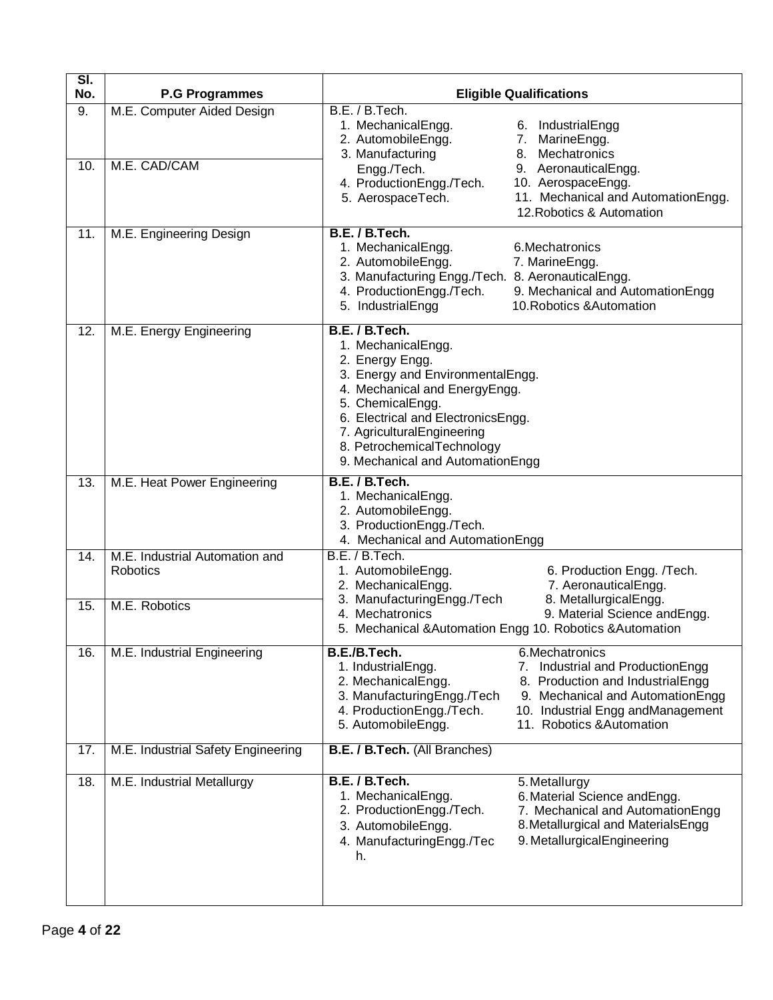| SI.<br>No. | <b>P.G Programmes</b>                      | <b>Eligible Qualifications</b>                                                                                                                                                                                                                                                                                                           |
|------------|--------------------------------------------|------------------------------------------------------------------------------------------------------------------------------------------------------------------------------------------------------------------------------------------------------------------------------------------------------------------------------------------|
| 9.         | M.E. Computer Aided Design                 | B.E. / B.Tech.<br>1. MechanicalEngg.<br>6. IndustrialEngg<br>2. AutomobileEngg.<br>7. MarineEngg.<br>8. Mechatronics<br>3. Manufacturing                                                                                                                                                                                                 |
| 10.        | M.E. CAD/CAM                               | Engg./Tech.<br>9. AeronauticalEngg.<br>4. ProductionEngg./Tech.<br>10. AerospaceEngg.<br>11. Mechanical and AutomationEngg.<br>5. AerospaceTech.<br>12. Robotics & Automation                                                                                                                                                            |
| 11.        | M.E. Engineering Design                    | B.E. / B.Tech.<br>1. MechanicalEngg.<br>6. Mechatronics<br>2. AutomobileEngg.<br>7. MarineEngg.<br>3. Manufacturing Engg./Tech. 8. AeronauticalEngg.<br>4. ProductionEngg./Tech.<br>9. Mechanical and AutomationEngg<br>5. IndustrialEngg<br>10. Robotics & Automation                                                                   |
| 12.        | M.E. Energy Engineering                    | B.E. / B.Tech.<br>1. MechanicalEngg.<br>2. Energy Engg.<br>3. Energy and EnvironmentalEngg.<br>4. Mechanical and EnergyEngg.<br>5. ChemicalEngg.<br>6. Electrical and ElectronicsEngg.<br>7. AgriculturalEngineering<br>8. PetrochemicalTechnology<br>9. Mechanical and AutomationEngg                                                   |
| 13.        | M.E. Heat Power Engineering                | B.E. / B.Tech.<br>1. MechanicalEngg.<br>2. AutomobileEngg.<br>3. ProductionEngg./Tech.<br>4. Mechanical and AutomationEngg                                                                                                                                                                                                               |
| 14.        | M.E. Industrial Automation and<br>Robotics | B.E. / B.Tech.<br>1. AutomobileEngg.<br>6. Production Engg. /Tech.<br>2. MechanicalEngg.<br>7. AeronauticalEngg.                                                                                                                                                                                                                         |
| 15.        | M.E. Robotics                              | 3. ManufacturingEngg./Tech<br>8. MetallurgicalEngg.<br>9. Material Science and Engg.<br>4. Mechatronics<br>5. Mechanical & Automation Engg 10. Robotics & Automation                                                                                                                                                                     |
| 16.        | M.E. Industrial Engineering                | B.E./B.Tech.<br>6.Mechatronics<br>1. IndustrialEngg.<br>7. Industrial and ProductionEngg<br>2. MechanicalEngg.<br>8. Production and IndustrialEngg<br>3. ManufacturingEngg./Tech<br>9. Mechanical and AutomationEngg<br>4. ProductionEngg./Tech.<br>10. Industrial Engg andManagement<br>5. AutomobileEngg.<br>11. Robotics & Automation |
| 17.        | M.E. Industrial Safety Engineering         | B.E. / B.Tech. (All Branches)                                                                                                                                                                                                                                                                                                            |
| 18.        | M.E. Industrial Metallurgy                 | B.E. / B.Tech.<br>5. Metallurgy<br>1. MechanicalEngg.<br>6. Material Science and Engg.<br>2. ProductionEngg./Tech.<br>7. Mechanical and AutomationEngg<br>8. Metallurgical and Materials Engg<br>3. AutomobileEngg.<br>9. MetallurgicalEngineering<br>4. ManufacturingEngg./Tec<br>h.                                                    |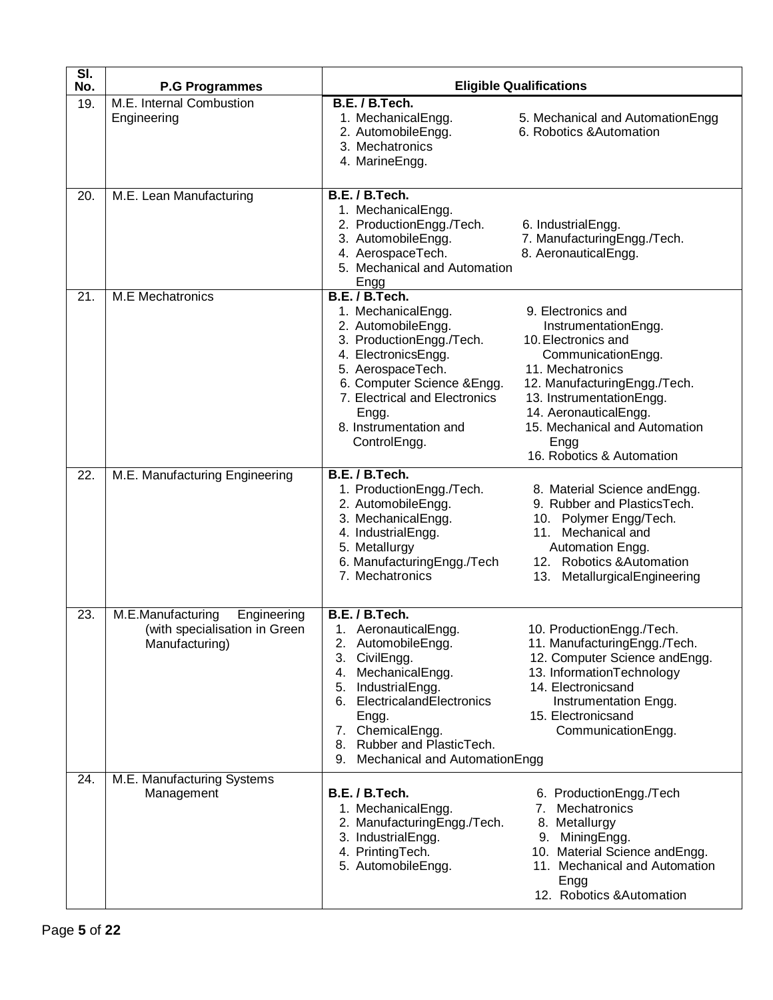| $\overline{\mathsf{SI}}$ .<br>No. | <b>P.G Programmes</b>                                                               |                                                                                                                                                                                                                                                            | <b>Eligible Qualifications</b>                                                                                                                                                                                                                                         |
|-----------------------------------|-------------------------------------------------------------------------------------|------------------------------------------------------------------------------------------------------------------------------------------------------------------------------------------------------------------------------------------------------------|------------------------------------------------------------------------------------------------------------------------------------------------------------------------------------------------------------------------------------------------------------------------|
| 19.                               | M.E. Internal Combustion<br>Engineering                                             | B.E. / B.Tech.<br>1. MechanicalEngg.<br>2. AutomobileEngg.<br>3. Mechatronics<br>4. MarineEngg.                                                                                                                                                            | 5. Mechanical and Automation Engg<br>6. Robotics & Automation                                                                                                                                                                                                          |
| 20.                               | M.E. Lean Manufacturing                                                             | B.E. / B.Tech.<br>1. MechanicalEngg.<br>2. ProductionEngg./Tech.<br>3. AutomobileEngg.<br>4. AerospaceTech.<br>5. Mechanical and Automation<br>Engg                                                                                                        | 6. IndustrialEngg.<br>7. ManufacturingEngg./Tech.<br>8. AeronauticalEngg.                                                                                                                                                                                              |
| 21.                               | <b>M.E</b> Mechatronics                                                             | B.E. / B.Tech.<br>1. MechanicalEngg.<br>2. AutomobileEngg.<br>3. ProductionEngg./Tech.<br>4. ElectronicsEngg.<br>5. AerospaceTech.<br>6. Computer Science & Engg.<br>7. Electrical and Electronics<br>Engg.<br>8. Instrumentation and<br>ControlEngg.      | 9. Electronics and<br>InstrumentationEngg.<br>10. Electronics and<br>CommunicationEngg.<br>11. Mechatronics<br>12. ManufacturingEngg./Tech.<br>13. InstrumentationEngg.<br>14. AeronauticalEngg.<br>15. Mechanical and Automation<br>Engg<br>16. Robotics & Automation |
| 22.                               | M.E. Manufacturing Engineering                                                      | B.E. / B.Tech.<br>1. ProductionEngg./Tech.<br>2. AutomobileEngg.<br>3. MechanicalEngg.<br>4. IndustrialEngg.<br>5. Metallurgy<br>6. ManufacturingEngg./Tech<br>7. Mechatronics                                                                             | 8. Material Science andEngg.<br>9. Rubber and PlasticsTech.<br>10. Polymer Engg/Tech.<br>11. Mechanical and<br>Automation Engg.<br>12. Robotics & Automation<br>MetallurgicalEngineering<br>13.                                                                        |
| 23.                               | M.E.Manufacturing<br>Engineering<br>(with specialisation in Green<br>Manufacturing) | B.E. / B.Tech.<br>1. AeronauticalEngg.<br>2. AutomobileEngg.<br>3. CivilEngg.<br>4. MechanicalEngg.<br>IndustrialEngg.<br>5.<br>6. ElectricalandElectronics<br>Engg.<br>7. ChemicalEngg.<br>8. Rubber and PlasticTech.<br>9. Mechanical and AutomationEngg | 10. ProductionEngg./Tech.<br>11. ManufacturingEngg./Tech.<br>12. Computer Science andEngg.<br>13. InformationTechnology<br>14. Electronicsand<br>Instrumentation Engg.<br>15. Electronicsand<br>CommunicationEngg.                                                     |
| 24.                               | M.E. Manufacturing Systems<br>Management                                            | B.E. / B.Tech.<br>1. MechanicalEngg.<br>2. ManufacturingEngg./Tech.<br>3. IndustrialEngg.<br>4. PrintingTech.<br>5. AutomobileEngg.                                                                                                                        | 6. ProductionEngg./Tech<br>7. Mechatronics<br>8. Metallurgy<br>9. MiningEngg.<br>10. Material Science and Engg.<br>11. Mechanical and Automation<br>Engg<br>12. Robotics & Automation                                                                                  |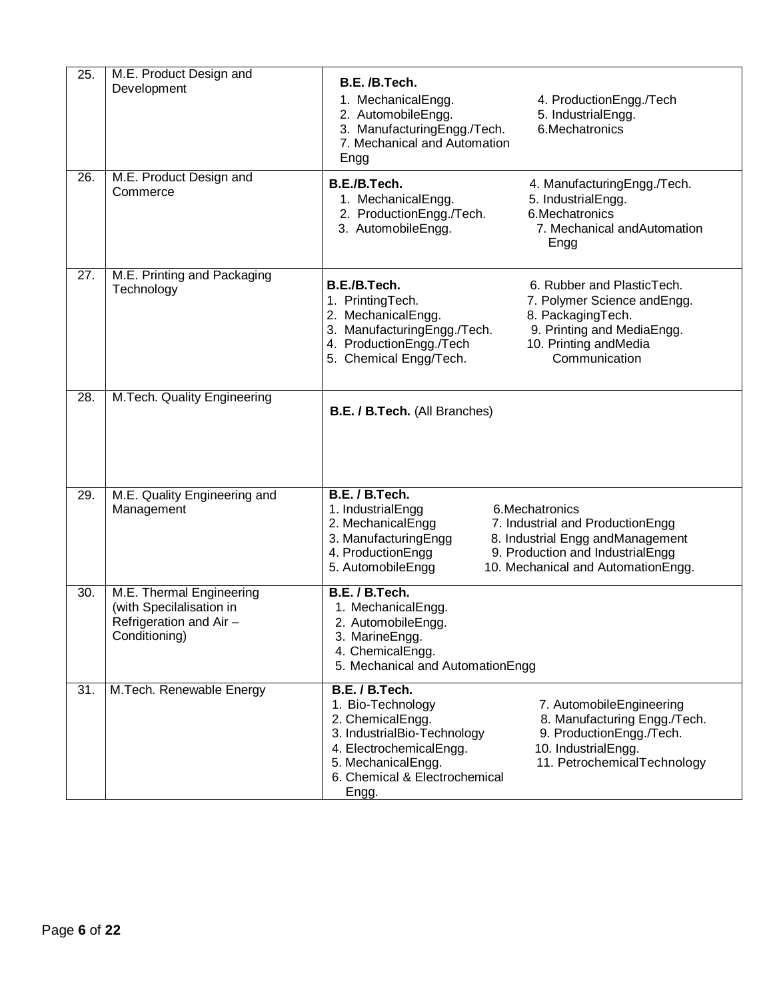| 25. | M.E. Product Design and<br>Development                                                           | B.E. /B.Tech.<br>1. MechanicalEngg.<br>2. AutomobileEngg.<br>3. ManufacturingEngg./Tech.<br>7. Mechanical and Automation<br>Engg                                                  | 4. ProductionEngg./Tech<br>5. IndustrialEngg.<br>6. Mechatronics                                                                                                  |
|-----|--------------------------------------------------------------------------------------------------|-----------------------------------------------------------------------------------------------------------------------------------------------------------------------------------|-------------------------------------------------------------------------------------------------------------------------------------------------------------------|
| 26. | M.E. Product Design and<br>Commerce                                                              | B.E./B.Tech.<br>1. MechanicalEngg.<br>2. ProductionEngg./Tech.<br>3. AutomobileEngg.                                                                                              | 4. ManufacturingEngg./Tech.<br>5. IndustrialEngg.<br>6.Mechatronics<br>7. Mechanical and Automation<br>Engg                                                       |
| 27. | M.E. Printing and Packaging<br>Technology                                                        | B.E./B.Tech.<br>1. PrintingTech.<br>2. MechanicalEngg.<br>3. ManufacturingEngg./Tech.<br>4. ProductionEngg./Tech<br>5. Chemical Engg/Tech.                                        | 6. Rubber and PlasticTech.<br>7. Polymer Science andEngg.<br>8. PackagingTech.<br>9. Printing and MediaEngg.<br>10. Printing andMedia<br>Communication            |
| 28. | M.Tech. Quality Engineering                                                                      | <b>B.E. / B.Tech.</b> (All Branches)                                                                                                                                              |                                                                                                                                                                   |
| 29. | M.E. Quality Engineering and<br>Management                                                       | B.E. / B.Tech.<br>1. IndustrialEngg<br>2. MechanicalEngg<br>3. ManufacturingEngg<br>4. ProductionEngg<br>5. AutomobileEngg                                                        | 6. Mechatronics<br>7. Industrial and ProductionEngg<br>8. Industrial Engg andManagement<br>9. Production and IndustrialEngg<br>10. Mechanical and AutomationEngg. |
| 30. | M.E. Thermal Engineering<br>(with Specilalisation in<br>Refrigeration and Air -<br>Conditioning) | B.E. / B.Tech.<br>1. MechanicalEngg.<br>2. AutomobileEngg.<br>3. MarineEngg.<br>4. ChemicalEngg.<br>5. Mechanical and AutomationEngg                                              |                                                                                                                                                                   |
| 31. | M.Tech. Renewable Energy                                                                         | B.E. / B.Tech.<br>1. Bio-Technology<br>2. ChemicalEngg.<br>3. IndustrialBio-Technology<br>4. ElectrochemicalEngg.<br>5. MechanicalEngg.<br>6. Chemical & Electrochemical<br>Engg. | 7. AutomobileEngineering<br>8. Manufacturing Engg./Tech.<br>9. ProductionEngg./Tech.<br>10. IndustrialEngg.<br>11. PetrochemicalTechnology                        |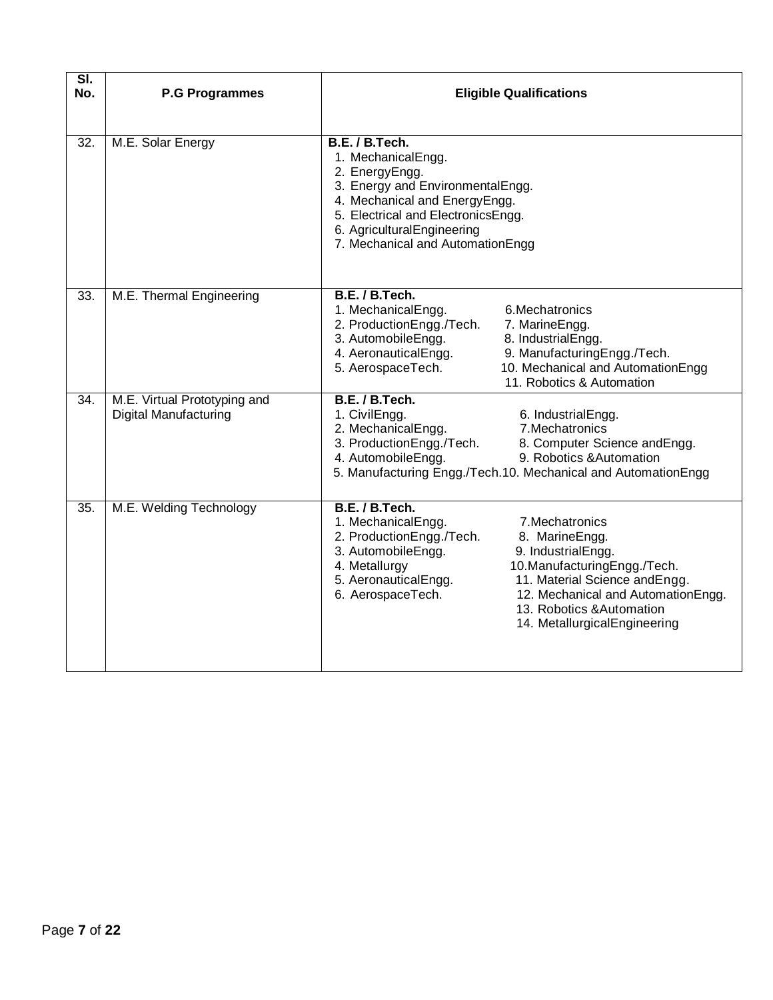| $\overline{\mathsf{SI}}$<br>No. | <b>P.G Programmes</b>                                        | <b>Eligible Qualifications</b>                                                                                                                                                                                                                                                                                                                                                     |
|---------------------------------|--------------------------------------------------------------|------------------------------------------------------------------------------------------------------------------------------------------------------------------------------------------------------------------------------------------------------------------------------------------------------------------------------------------------------------------------------------|
| $\overline{32}$ .               | M.E. Solar Energy                                            | B.E. / B.Tech.<br>1. MechanicalEngg.<br>2. EnergyEngg.<br>3. Energy and EnvironmentalEngg.<br>4. Mechanical and EnergyEngg.<br>5. Electrical and ElectronicsEngg.<br>6. AgriculturalEngineering<br>7. Mechanical and AutomationEngg                                                                                                                                                |
| 33.                             | M.E. Thermal Engineering                                     | B.E. / B.Tech.<br>1. MechanicalEngg.<br>6. Mechatronics<br>2. ProductionEngg./Tech.<br>7. MarineEngg.<br>3. AutomobileEngg.<br>8. IndustrialEngg.<br>4. AeronauticalEngg.<br>9. ManufacturingEngg./Tech.<br>5. AerospaceTech.<br>10. Mechanical and AutomationEngg<br>11. Robotics & Automation                                                                                    |
| $\overline{34}$ .               | M.E. Virtual Prototyping and<br><b>Digital Manufacturing</b> | B.E. / B.Tech.<br>1. CivilEngg.<br>6. IndustrialEngg.<br>2. MechanicalEngg.<br>7. Mechatronics<br>3. ProductionEngg./Tech.<br>8. Computer Science andEngg.<br>4. AutomobileEngg.<br>9. Robotics & Automation<br>5. Manufacturing Engg./Tech.10. Mechanical and AutomationEngg                                                                                                      |
| 35.                             | M.E. Welding Technology                                      | B.E. / B.Tech.<br>1. MechanicalEngg.<br>7. Mechatronics<br>2. ProductionEngg./Tech.<br>8. MarineEngg.<br>3. AutomobileEngg.<br>9. IndustrialEngg.<br>4. Metallurgy<br>10.ManufacturingEngg./Tech.<br>5. AeronauticalEngg.<br>11. Material Science andEngg.<br>6. AerospaceTech.<br>12. Mechanical and AutomationEngg.<br>13. Robotics & Automation<br>14. MetallurgicalEngineering |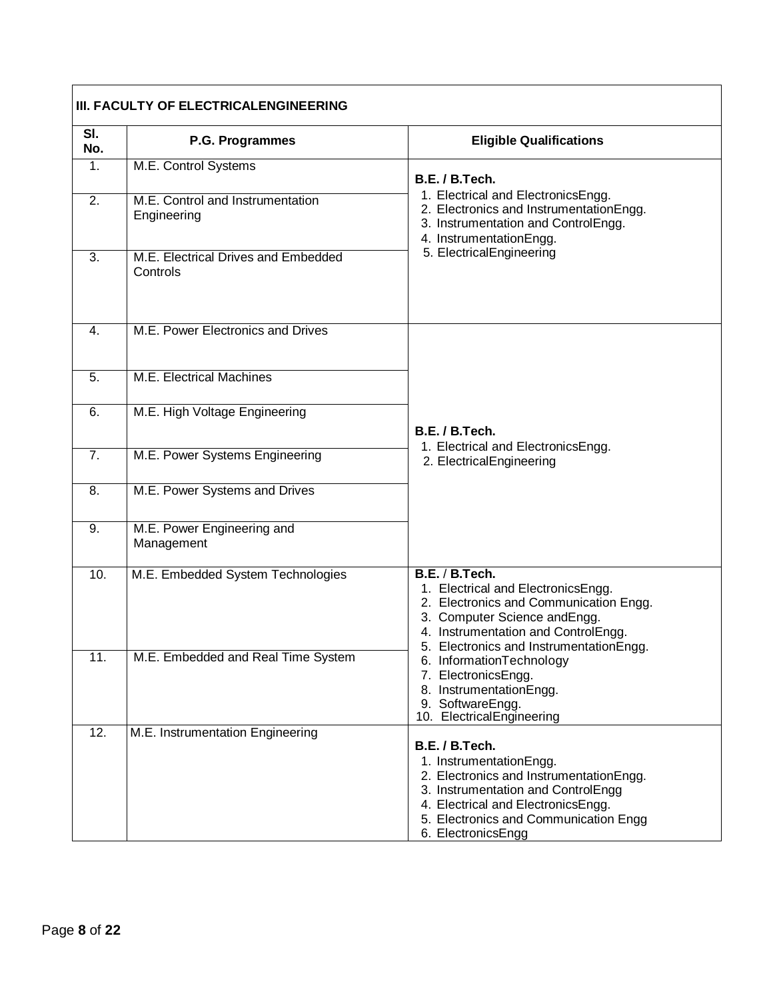|                   | III. FACULTY OF ELECTRICALENGINEERING           |                                                                                                                                                                                                                  |  |  |
|-------------------|-------------------------------------------------|------------------------------------------------------------------------------------------------------------------------------------------------------------------------------------------------------------------|--|--|
| SI.<br>No.        | P.G. Programmes                                 | <b>Eligible Qualifications</b>                                                                                                                                                                                   |  |  |
| $\mathbf{1}$ .    | M.E. Control Systems                            | B.E. / B.Tech.                                                                                                                                                                                                   |  |  |
| 2.                | M.E. Control and Instrumentation<br>Engineering | 1. Electrical and ElectronicsEngg.<br>2. Electronics and InstrumentationEngg.<br>3. Instrumentation and ControlEngg.<br>4. InstrumentationEngg.                                                                  |  |  |
| 3.                | M.E. Electrical Drives and Embedded<br>Controls | 5. ElectricalEngineering                                                                                                                                                                                         |  |  |
| $\mathbf{4}$ .    | M.E. Power Electronics and Drives               |                                                                                                                                                                                                                  |  |  |
| 5.                | M.E. Electrical Machines                        |                                                                                                                                                                                                                  |  |  |
| 6.                | M.E. High Voltage Engineering                   | B.E. / B.Tech.                                                                                                                                                                                                   |  |  |
| 7.                | M.E. Power Systems Engineering                  | 1. Electrical and ElectronicsEngg.<br>2. ElectricalEngineering                                                                                                                                                   |  |  |
| 8.                | M.E. Power Systems and Drives                   |                                                                                                                                                                                                                  |  |  |
| 9.                | M.E. Power Engineering and<br>Management        |                                                                                                                                                                                                                  |  |  |
| 10.               | M.E. Embedded System Technologies               | B.E. / B.Tech.<br>1. Electrical and ElectronicsEngg.<br>2. Electronics and Communication Engg.<br>3. Computer Science andEngg.<br>4. Instrumentation and ControlEngg.<br>5. Electronics and InstrumentationEngg. |  |  |
| 11.               | M.E. Embedded and Real Time System              | 6. InformationTechnology<br>7. ElectronicsEngg.<br>8. InstrumentationEngg.<br>9. SoftwareEngg.<br>10. ElectricalEngineering                                                                                      |  |  |
| $\overline{12}$ . | M.E. Instrumentation Engineering                | B.E. / B.Tech.                                                                                                                                                                                                   |  |  |
|                   |                                                 | 1. InstrumentationEngg.                                                                                                                                                                                          |  |  |
|                   |                                                 | 2. Electronics and InstrumentationEngg.<br>3. Instrumentation and ControlEngg                                                                                                                                    |  |  |
|                   |                                                 | 4. Electrical and ElectronicsEngg.                                                                                                                                                                               |  |  |
|                   |                                                 | 5. Electronics and Communication Engg<br>6. ElectronicsEngg                                                                                                                                                      |  |  |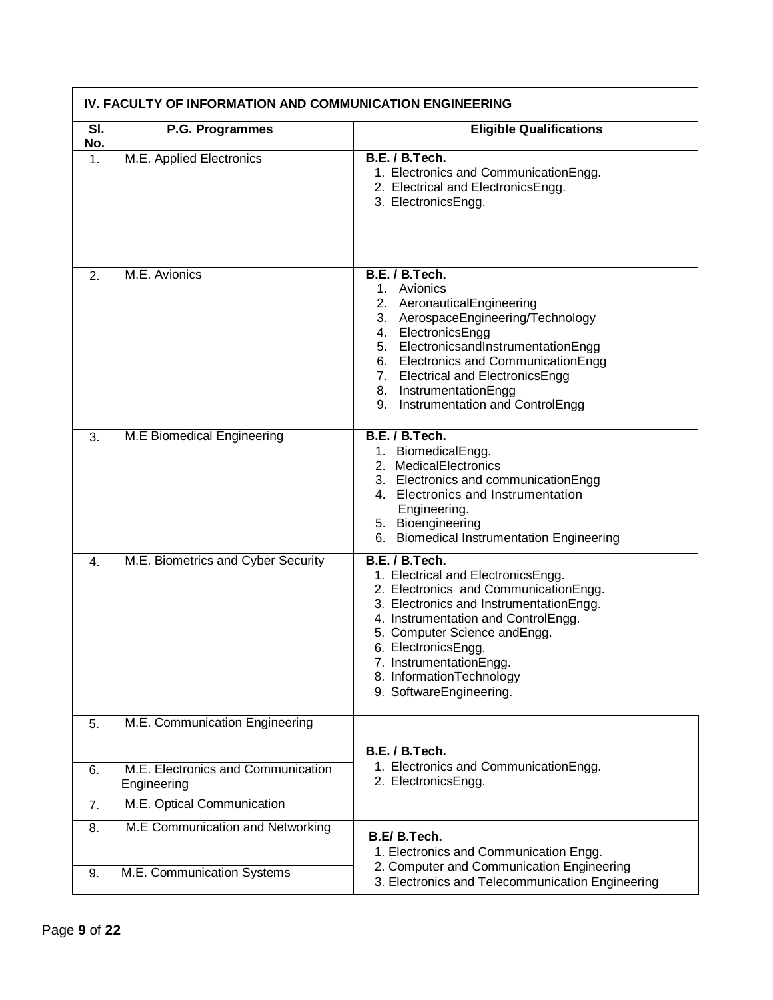|               | IV. FACULTY OF INFORMATION AND COMMUNICATION ENGINEERING |                                                                                                                                                                                                                                                                                                                           |
|---------------|----------------------------------------------------------|---------------------------------------------------------------------------------------------------------------------------------------------------------------------------------------------------------------------------------------------------------------------------------------------------------------------------|
| SI.<br>No.    | P.G. Programmes                                          | <b>Eligible Qualifications</b>                                                                                                                                                                                                                                                                                            |
| $\mathbf 1$ . | M.E. Applied Electronics                                 | B.E. / B.Tech.<br>1. Electronics and CommunicationEngg.<br>2. Electrical and ElectronicsEngg.<br>3. ElectronicsEngg.                                                                                                                                                                                                      |
| 2.            | M.E. Avionics                                            | B.E. / B.Tech.<br>1. Avionics<br>2. AeronauticalEngineering                                                                                                                                                                                                                                                               |
|               |                                                          | 3. AerospaceEngineering/Technology<br>4. ElectronicsEngg<br>5. ElectronicsandInstrumentationEngg<br>6. Electronics and Communication Engg<br>7. Electrical and ElectronicsEngg<br>8. InstrumentationEngg<br>9. Instrumentation and ControlEngg                                                                            |
| 3.            | M.E Biomedical Engineering                               | B.E. / B.Tech.<br>1. BiomedicalEngg.<br>2. MedicalElectronics<br>3. Electronics and communicationEngg<br>4. Electronics and Instrumentation<br>Engineering.<br>5. Bioengineering<br>6. Biomedical Instrumentation Engineering                                                                                             |
| 4.            | M.E. Biometrics and Cyber Security                       | B.E. / B.Tech.<br>1. Electrical and ElectronicsEngg.<br>2. Electronics and CommunicationEngg.<br>3. Electronics and InstrumentationEngg.<br>4. Instrumentation and ControlEngg.<br>5. Computer Science and Engg.<br>6. ElectronicsEngg.<br>7. InstrumentationEngg.<br>8. InformationTechnology<br>9. SoftwareEngineering. |
| 5.            | M.E. Communication Engineering                           |                                                                                                                                                                                                                                                                                                                           |
| 6.            | M.E. Electronics and Communication<br>Engineering        | B.E. / B.Tech.<br>1. Electronics and Communication Engg.<br>2. ElectronicsEngg.                                                                                                                                                                                                                                           |
| 7.            | M.E. Optical Communication                               |                                                                                                                                                                                                                                                                                                                           |
| 8.            | M.E Communication and Networking                         | B.E/B.Tech.<br>1. Electronics and Communication Engg.                                                                                                                                                                                                                                                                     |
| 9.            | M.E. Communication Systems                               | 2. Computer and Communication Engineering<br>3. Electronics and Telecommunication Engineering                                                                                                                                                                                                                             |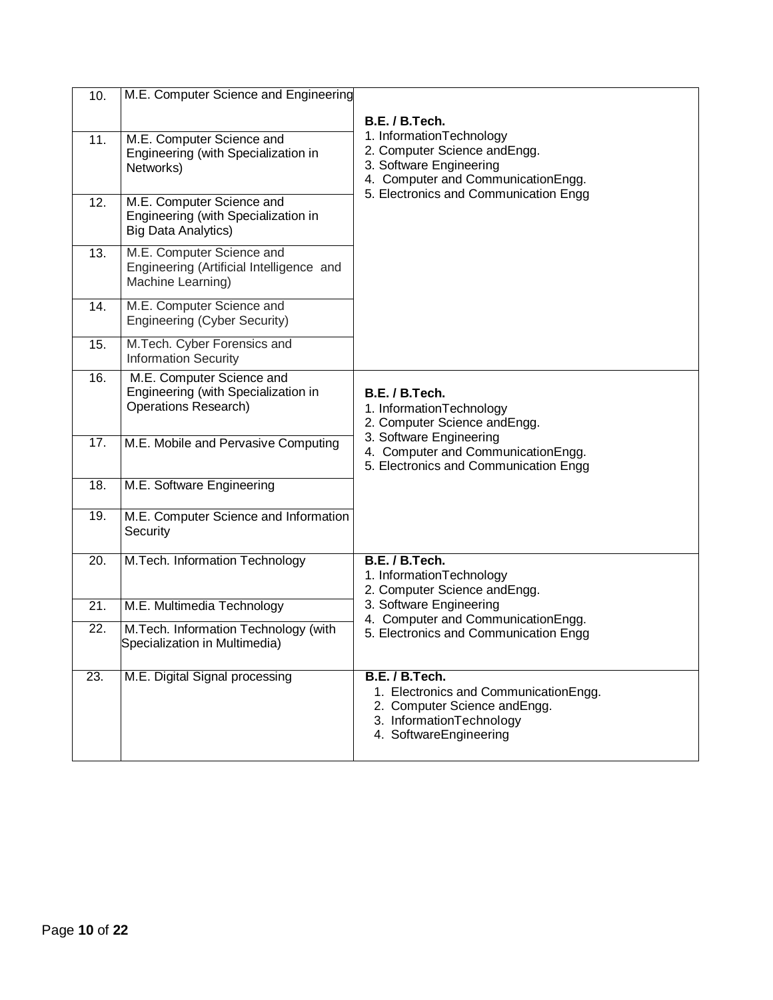| 10.               | M.E. Computer Science and Engineering                                                           |                                                                                                                                                |
|-------------------|-------------------------------------------------------------------------------------------------|------------------------------------------------------------------------------------------------------------------------------------------------|
|                   |                                                                                                 | B.E. / B.Tech.                                                                                                                                 |
| 11.               | M.E. Computer Science and<br>Engineering (with Specialization in<br>Networks)                   | 1. InformationTechnology<br>2. Computer Science andEngg.<br>3. Software Engineering<br>4. Computer and CommunicationEngg.                      |
| 12.               | M.E. Computer Science and<br>Engineering (with Specialization in<br><b>Big Data Analytics)</b>  | 5. Electronics and Communication Engg                                                                                                          |
| 13.               | M.E. Computer Science and<br>Engineering (Artificial Intelligence and<br>Machine Learning)      |                                                                                                                                                |
| 14.               | M.E. Computer Science and<br>Engineering (Cyber Security)                                       |                                                                                                                                                |
| 15.               | M.Tech. Cyber Forensics and<br><b>Information Security</b>                                      |                                                                                                                                                |
| 16.               | M.E. Computer Science and<br>Engineering (with Specialization in<br><b>Operations Research)</b> | B.E. / B.Tech.<br>1. InformationTechnology<br>2. Computer Science andEngg.                                                                     |
| 17.               | M.E. Mobile and Pervasive Computing                                                             | 3. Software Engineering<br>4. Computer and CommunicationEngg.<br>5. Electronics and Communication Engg                                         |
| $\overline{18}$ . | M.E. Software Engineering                                                                       |                                                                                                                                                |
| 19.               | M.E. Computer Science and Information<br>Security                                               |                                                                                                                                                |
| 20.               | M.Tech. Information Technology                                                                  | B.E. / B.Tech.<br>1. InformationTechnology<br>2. Computer Science andEngg.                                                                     |
| 21.               | M.E. Multimedia Technology                                                                      | 3. Software Engineering<br>4. Computer and CommunicationEngg.                                                                                  |
| 22.               | M.Tech. Information Technology (with<br>Specialization in Multimedia)                           | 5. Electronics and Communication Engg                                                                                                          |
| 23.               | M.E. Digital Signal processing                                                                  | B.E. / B.Tech.<br>1. Electronics and CommunicationEngg.<br>2. Computer Science and Engg.<br>3. InformationTechnology<br>4. SoftwareEngineering |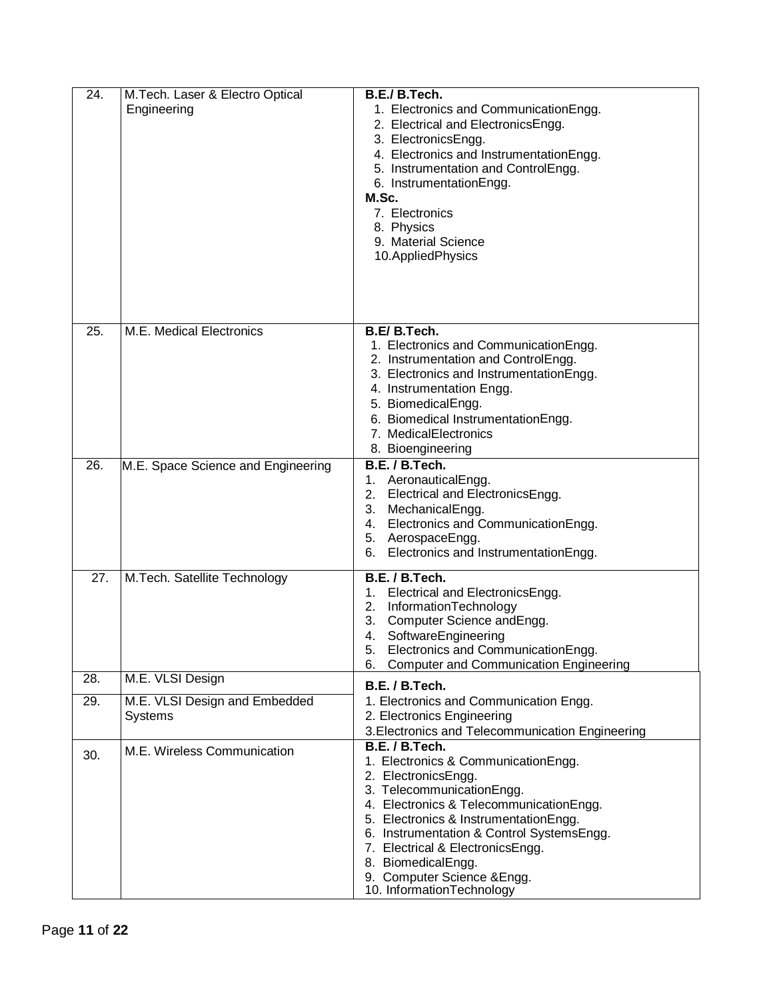| 24. | M.Tech. Laser & Electro Optical<br>Engineering | B.E./ B.Tech.<br>1. Electronics and CommunicationEngg.<br>2. Electrical and ElectronicsEngg.<br>3. ElectronicsEngg.<br>4. Electronics and InstrumentationEngg.<br>5. Instrumentation and ControlEngg.<br>6. InstrumentationEngg.<br>M.Sc.<br>7. Electronics<br>8. Physics<br>9. Material Science<br>10. Applied Physics                                           |
|-----|------------------------------------------------|-------------------------------------------------------------------------------------------------------------------------------------------------------------------------------------------------------------------------------------------------------------------------------------------------------------------------------------------------------------------|
| 25. | M.E. Medical Electronics                       | B.E/B.Tech.<br>1. Electronics and CommunicationEngg.<br>2. Instrumentation and ControlEngg.<br>3. Electronics and InstrumentationEngg.<br>4. Instrumentation Engg.<br>5. BiomedicalEngg.<br>6. Biomedical InstrumentationEngg.<br>7. MedicalElectronics<br>8. Bioengineering                                                                                      |
| 26. | M.E. Space Science and Engineering             | B.E. / B.Tech.<br>1. AeronauticalEngg.<br>Electrical and ElectronicsEngg.<br>2.<br>3.<br>MechanicalEngg.<br>Electronics and CommunicationEngg.<br>4.<br>5. AerospaceEngg.<br>Electronics and InstrumentationEngg.<br>6.                                                                                                                                           |
| 27. | M.Tech. Satellite Technology                   | B.E. / B.Tech.<br>Electrical and ElectronicsEngg.<br>1.<br>2.<br>InformationTechnology<br>3.<br>Computer Science andEngg.<br>SoftwareEngineering<br>4.<br>Electronics and CommunicationEngg.<br>5.<br>6. Computer and Communication Engineering                                                                                                                   |
| 28. | M.E. VLSI Design                               | B.E. / B.Tech.                                                                                                                                                                                                                                                                                                                                                    |
| 29. | M.E. VLSI Design and Embedded<br>Systems       | 1. Electronics and Communication Engg.<br>2. Electronics Engineering<br>3. Electronics and Telecommunication Engineering                                                                                                                                                                                                                                          |
| 30. | M.E. Wireless Communication                    | B.E. / B.Tech.<br>1. Electronics & CommunicationEngg.<br>2. ElectronicsEngg.<br>3. TelecommunicationEngg.<br>4. Electronics & Telecommunication Engg.<br>5. Electronics & InstrumentationEngg.<br>6. Instrumentation & Control SystemsEngg.<br>7. Electrical & ElectronicsEngg.<br>8. BiomedicalEngg.<br>9. Computer Science & Engg.<br>10. InformationTechnology |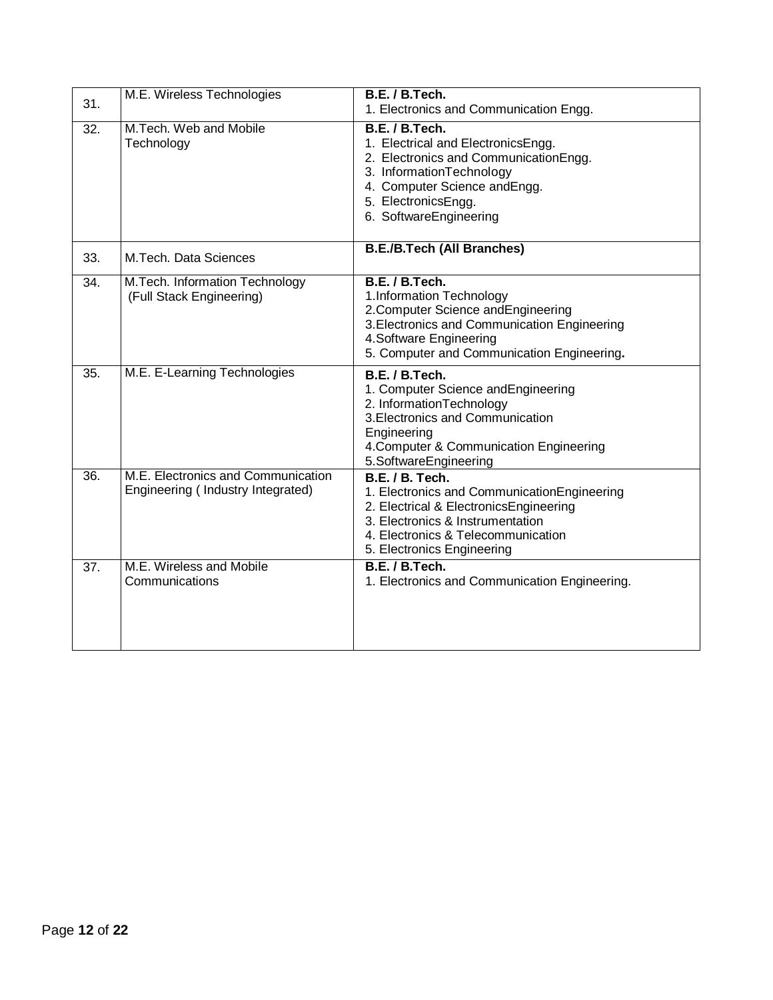| 31. | M.E. Wireless Technologies                                              | B.E. / B.Tech.<br>1. Electronics and Communication Engg.                                                                                                                                                                |
|-----|-------------------------------------------------------------------------|-------------------------------------------------------------------------------------------------------------------------------------------------------------------------------------------------------------------------|
| 32. | M.Tech. Web and Mobile<br>Technology                                    | B.E. / B.Tech.<br>1. Electrical and ElectronicsEngg.<br>2. Electronics and Communication Engg.<br>3. InformationTechnology<br>4. Computer Science andEngg.<br>5. ElectronicsEngg.<br>6. SoftwareEngineering             |
| 33. | M.Tech. Data Sciences                                                   | <b>B.E./B.Tech (All Branches)</b>                                                                                                                                                                                       |
| 34. | M.Tech. Information Technology<br>(Full Stack Engineering)              | B.E. / B.Tech.<br>1.Information Technology<br>2. Computer Science and Engineering<br>3. Electronics and Communication Engineering<br>4.Software Engineering<br>5. Computer and Communication Engineering.               |
| 35. | M.E. E-Learning Technologies                                            | B.E. / B.Tech.<br>1. Computer Science and Engineering<br>2. InformationTechnology<br>3. Electronics and Communication<br>Engineering<br>4. Computer & Communication Engineering<br>5.SoftwareEngineering                |
| 36. | M.E. Electronics and Communication<br>Engineering (Industry Integrated) | <b>B.E. / B. Tech.</b><br>1. Electronics and CommunicationEngineering<br>2. Electrical & ElectronicsEngineering<br>3. Electronics & Instrumentation<br>4. Electronics & Telecommunication<br>5. Electronics Engineering |
| 37. | M.E. Wireless and Mobile<br>Communications                              | B.E. / B.Tech.<br>1. Electronics and Communication Engineering.                                                                                                                                                         |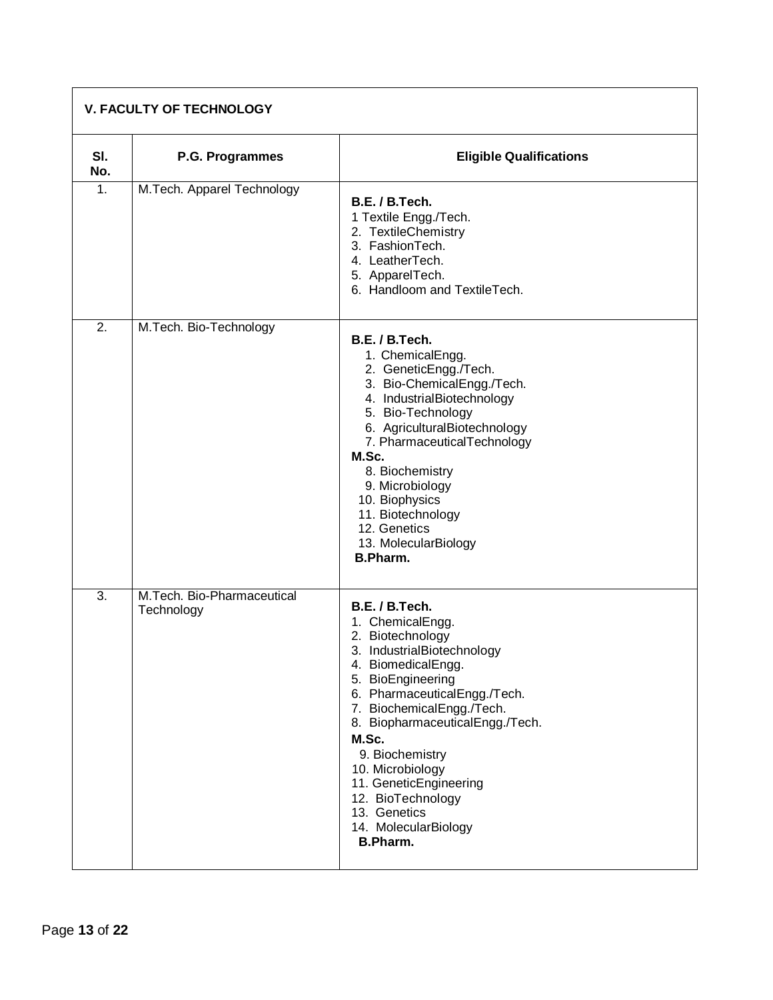| <b>V. FACULTY OF TECHNOLOGY</b> |                                          |                                                                                                                                                                                                                                                                                                                                                                                           |
|---------------------------------|------------------------------------------|-------------------------------------------------------------------------------------------------------------------------------------------------------------------------------------------------------------------------------------------------------------------------------------------------------------------------------------------------------------------------------------------|
| SI.<br>No.                      | P.G. Programmes                          | <b>Eligible Qualifications</b>                                                                                                                                                                                                                                                                                                                                                            |
| 1.                              | M.Tech. Apparel Technology               | B.E. / B.Tech.<br>1 Textile Engg./Tech.<br>2. TextileChemistry<br>3. FashionTech.<br>4. LeatherTech.<br>5. ApparelTech.<br>6. Handloom and TextileTech.                                                                                                                                                                                                                                   |
| 2.                              | M.Tech. Bio-Technology                   | B.E. / B.Tech.<br>1. ChemicalEngg.<br>2. GeneticEngg./Tech.<br>3. Bio-ChemicalEngg./Tech.<br>4. IndustrialBiotechnology<br>5. Bio-Technology<br>6. AgriculturalBiotechnology<br>7. PharmaceuticalTechnology<br>M.Sc.<br>8. Biochemistry<br>9. Microbiology<br>10. Biophysics<br>11. Biotechnology<br>12. Genetics<br>13. MolecularBiology<br><b>B.Pharm.</b>                              |
| $\overline{3}$ .                | M.Tech. Bio-Pharmaceutical<br>Technology | B.E. / B.Tech.<br>1. ChemicalEngg.<br>2. Biotechnology<br>3. IndustrialBiotechnology<br>4. BiomedicalEngg.<br>5. BioEngineering<br>6. PharmaceuticalEngg./Tech.<br>7. BiochemicalEngg./Tech.<br>8. BiopharmaceuticalEngg./Tech.<br>M.Sc.<br>9. Biochemistry<br>10. Microbiology<br>11. GeneticEngineering<br>12. BioTechnology<br>13. Genetics<br>14. MolecularBiology<br><b>B.Pharm.</b> |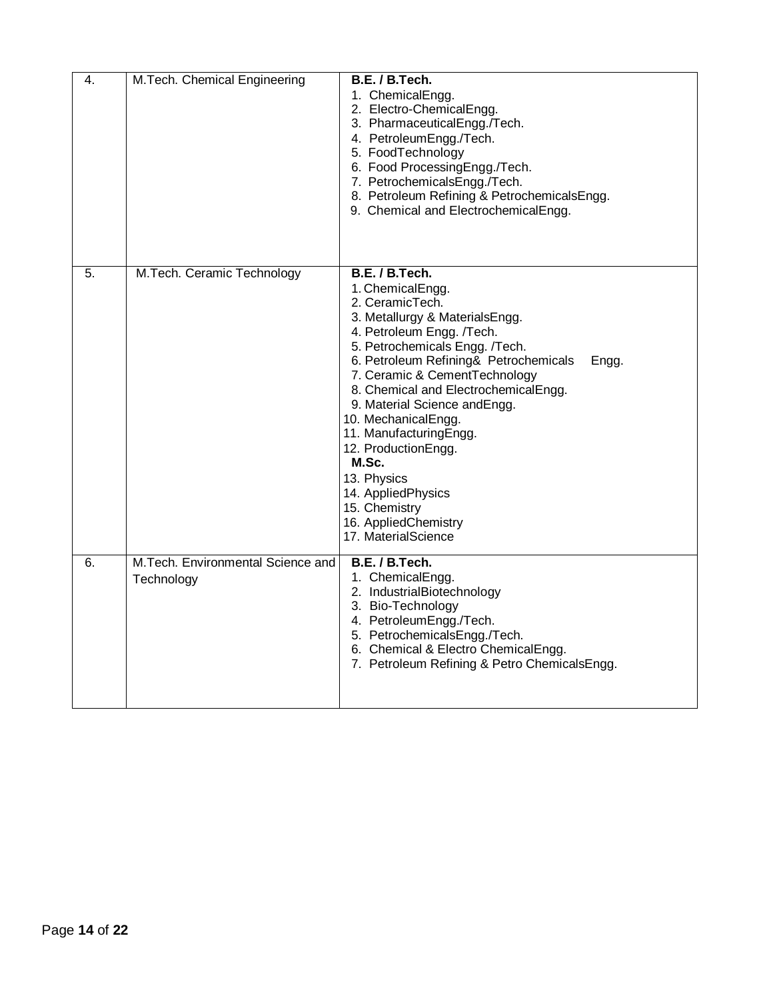| 4. | M.Tech. Chemical Engineering                    | B.E. / B.Tech.<br>1. ChemicalEngg.<br>2. Electro-ChemicalEngg.<br>3. PharmaceuticalEngg./Tech.<br>4. PetroleumEngg./Tech.<br>5. FoodTechnology<br>6. Food ProcessingEngg./Tech.<br>7. PetrochemicalsEngg./Tech.<br>8. Petroleum Refining & PetrochemicalsEngg.<br>9. Chemical and ElectrochemicalEngg.                                                                                                                                                                                                   |
|----|-------------------------------------------------|----------------------------------------------------------------------------------------------------------------------------------------------------------------------------------------------------------------------------------------------------------------------------------------------------------------------------------------------------------------------------------------------------------------------------------------------------------------------------------------------------------|
| 5. | M.Tech. Ceramic Technology                      | B.E. / B.Tech.<br>1. ChemicalEngg.<br>2. CeramicTech.<br>3. Metallurgy & MaterialsEngg.<br>4. Petroleum Engg. /Tech.<br>5. Petrochemicals Engg. /Tech.<br>6. Petroleum Refining& Petrochemicals<br>Engg.<br>7. Ceramic & CementTechnology<br>8. Chemical and ElectrochemicalEngg.<br>9. Material Science and Engg.<br>10. MechanicalEngg.<br>11. ManufacturingEngg.<br>12. ProductionEngg.<br>M.Sc.<br>13. Physics<br>14. AppliedPhysics<br>15. Chemistry<br>16. AppliedChemistry<br>17. MaterialScience |
| 6. | M.Tech. Environmental Science and<br>Technology | B.E. / B.Tech.<br>1. ChemicalEngg.<br>2. IndustrialBiotechnology<br>3. Bio-Technology<br>4. PetroleumEngg./Tech.<br>5. PetrochemicalsEngg./Tech.<br>6. Chemical & Electro ChemicalEngg.<br>7. Petroleum Refining & Petro ChemicalsEngg.                                                                                                                                                                                                                                                                  |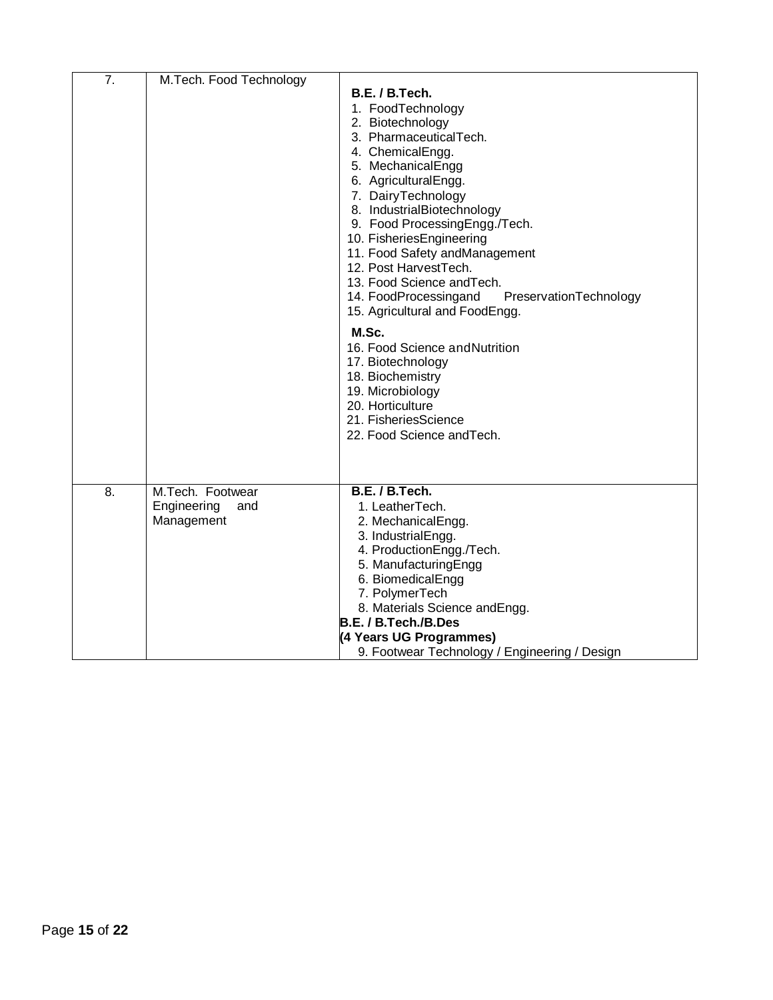| 7. | M.Tech. Food Technology                              |                                                                                                                                                                                                                                                                                                                                                                                                                                                                                                                                                                                                                                    |
|----|------------------------------------------------------|------------------------------------------------------------------------------------------------------------------------------------------------------------------------------------------------------------------------------------------------------------------------------------------------------------------------------------------------------------------------------------------------------------------------------------------------------------------------------------------------------------------------------------------------------------------------------------------------------------------------------------|
|    |                                                      | B.E. / B.Tech.<br>1. FoodTechnology<br>2. Biotechnology<br>3. PharmaceuticalTech.<br>4. ChemicalEngg.<br>5. MechanicalEngg<br>6. AgriculturalEngg.<br>7. DairyTechnology<br>8. IndustrialBiotechnology<br>9. Food ProcessingEngg./Tech.<br>10. FisheriesEngineering<br>11. Food Safety andManagement<br>12. Post HarvestTech.<br>13. Food Science and Tech.<br>14. FoodProcessingand<br>PreservationTechnology<br>15. Agricultural and FoodEngg.<br>M.Sc.<br>16. Food Science and Nutrition<br>17. Biotechnology<br>18. Biochemistry<br>19. Microbiology<br>20. Horticulture<br>21. FisheriesScience<br>22. Food Science and Tech. |
|    |                                                      |                                                                                                                                                                                                                                                                                                                                                                                                                                                                                                                                                                                                                                    |
| 8. | M.Tech. Footwear<br>Engineering<br>and<br>Management | B.E. / B.Tech.<br>1. LeatherTech.<br>2. MechanicalEngg.<br>3. IndustrialEngg.<br>4. ProductionEngg./Tech.<br>5. ManufacturingEngg<br>6. BiomedicalEngg<br>7. PolymerTech<br>8. Materials Science and Engg.<br>B.E. / B.Tech./B.Des<br>(4 Years UG Programmes)<br>9. Footwear Technology / Engineering / Design                                                                                                                                                                                                                                                                                                                     |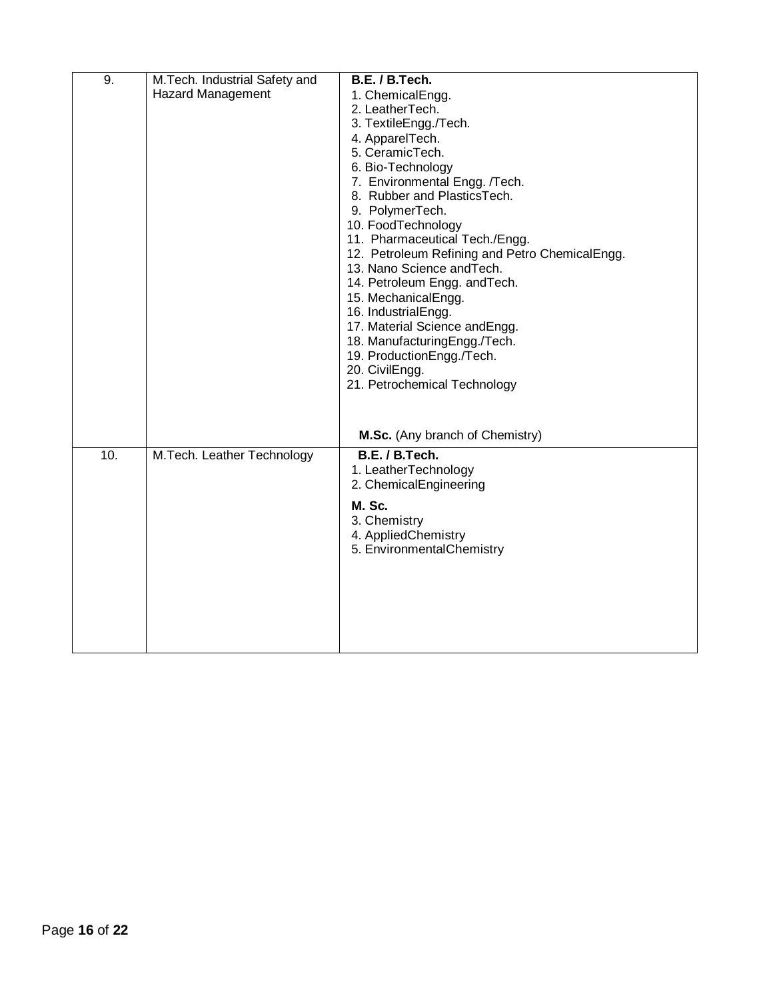| 9.  | M.Tech. Industrial Safety and | B.E. / B.Tech.                                 |
|-----|-------------------------------|------------------------------------------------|
|     | <b>Hazard Management</b>      | 1. ChemicalEngg.                               |
|     |                               | 2. LeatherTech.                                |
|     |                               | 3. TextileEngg./Tech.                          |
|     |                               | 4. ApparelTech.                                |
|     |                               | 5. CeramicTech.                                |
|     |                               | 6. Bio-Technology                              |
|     |                               | 7. Environmental Engg. /Tech.                  |
|     |                               | 8. Rubber and PlasticsTech.                    |
|     |                               | 9. PolymerTech.                                |
|     |                               | 10. FoodTechnology                             |
|     |                               | 11. Pharmaceutical Tech./Engg.                 |
|     |                               | 12. Petroleum Refining and Petro ChemicalEngg. |
|     |                               | 13. Nano Science and Tech.                     |
|     |                               | 14. Petroleum Engg. and Tech.                  |
|     |                               | 15. MechanicalEngg.                            |
|     |                               | 16. IndustrialEngg.                            |
|     |                               | 17. Material Science andEngg.                  |
|     |                               | 18. ManufacturingEngg./Tech.                   |
|     |                               | 19. ProductionEngg./Tech.                      |
|     |                               | 20. CivilEngg.                                 |
|     |                               | 21. Petrochemical Technology                   |
|     |                               |                                                |
|     |                               |                                                |
|     |                               | M.Sc. (Any branch of Chemistry)                |
| 10. | M.Tech. Leather Technology    | B.E. / B.Tech.                                 |
|     |                               | 1. LeatherTechnology                           |
|     |                               | 2. ChemicalEngineering                         |
|     |                               |                                                |
|     |                               | M. Sc.                                         |
|     |                               | 3. Chemistry                                   |
|     |                               | 4. AppliedChemistry                            |
|     |                               | 5. EnvironmentalChemistry                      |
|     |                               |                                                |
|     |                               |                                                |
|     |                               |                                                |
|     |                               |                                                |
|     |                               |                                                |
|     |                               |                                                |
|     |                               |                                                |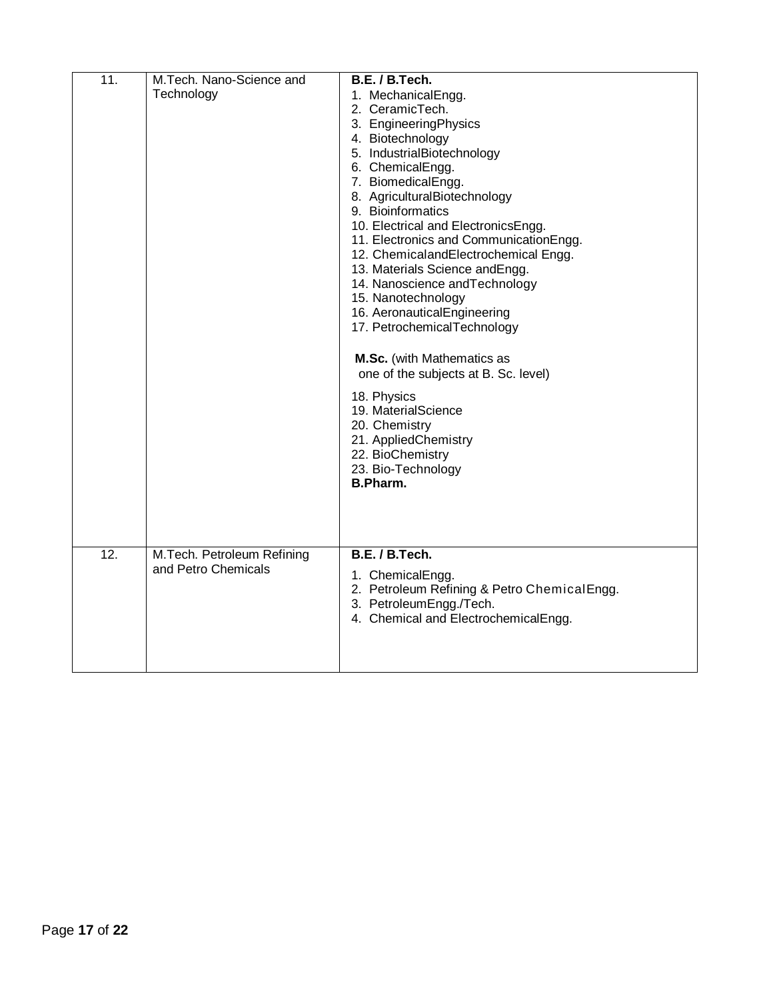| $\overline{11}$ . | M.Tech. Nano-Science and   | B.E. / B.Tech.                                                                 |
|-------------------|----------------------------|--------------------------------------------------------------------------------|
|                   | Technology                 | 1. MechanicalEngg.                                                             |
|                   |                            | 2. CeramicTech.                                                                |
|                   |                            | 3. EngineeringPhysics                                                          |
|                   |                            | 4. Biotechnology                                                               |
|                   |                            | 5. IndustrialBiotechnology                                                     |
|                   |                            | 6. ChemicalEngg.                                                               |
|                   |                            | 7. BiomedicalEngg.                                                             |
|                   |                            | 8. AgriculturalBiotechnology                                                   |
|                   |                            | 9. Bioinformatics                                                              |
|                   |                            | 10. Electrical and ElectronicsEngg.<br>11. Electronics and Communication Engg. |
|                   |                            | 12. ChemicalandElectrochemical Engg.                                           |
|                   |                            | 13. Materials Science and Engg.                                                |
|                   |                            | 14. Nanoscience and Technology                                                 |
|                   |                            | 15. Nanotechnology                                                             |
|                   |                            | 16. AeronauticalEngineering                                                    |
|                   |                            | 17. PetrochemicalTechnology                                                    |
|                   |                            |                                                                                |
|                   |                            | M.Sc. (with Mathematics as                                                     |
|                   |                            | one of the subjects at B. Sc. level)                                           |
|                   |                            | 18. Physics                                                                    |
|                   |                            | 19. MaterialScience                                                            |
|                   |                            | 20. Chemistry                                                                  |
|                   |                            | 21. AppliedChemistry                                                           |
|                   |                            | 22. BioChemistry                                                               |
|                   |                            | 23. Bio-Technology                                                             |
|                   |                            | B.Pharm.                                                                       |
|                   |                            |                                                                                |
|                   |                            |                                                                                |
|                   |                            |                                                                                |
| $\overline{12}$ . | M.Tech. Petroleum Refining | B.E. / B.Tech.                                                                 |
|                   | and Petro Chemicals        | 1. ChemicalEngg.                                                               |
|                   |                            | 2. Petroleum Refining & Petro ChemicalEngg.                                    |
|                   |                            | 3. PetroleumEngg./Tech.                                                        |
|                   |                            | 4. Chemical and ElectrochemicalEngg.                                           |
|                   |                            |                                                                                |
|                   |                            |                                                                                |
|                   |                            |                                                                                |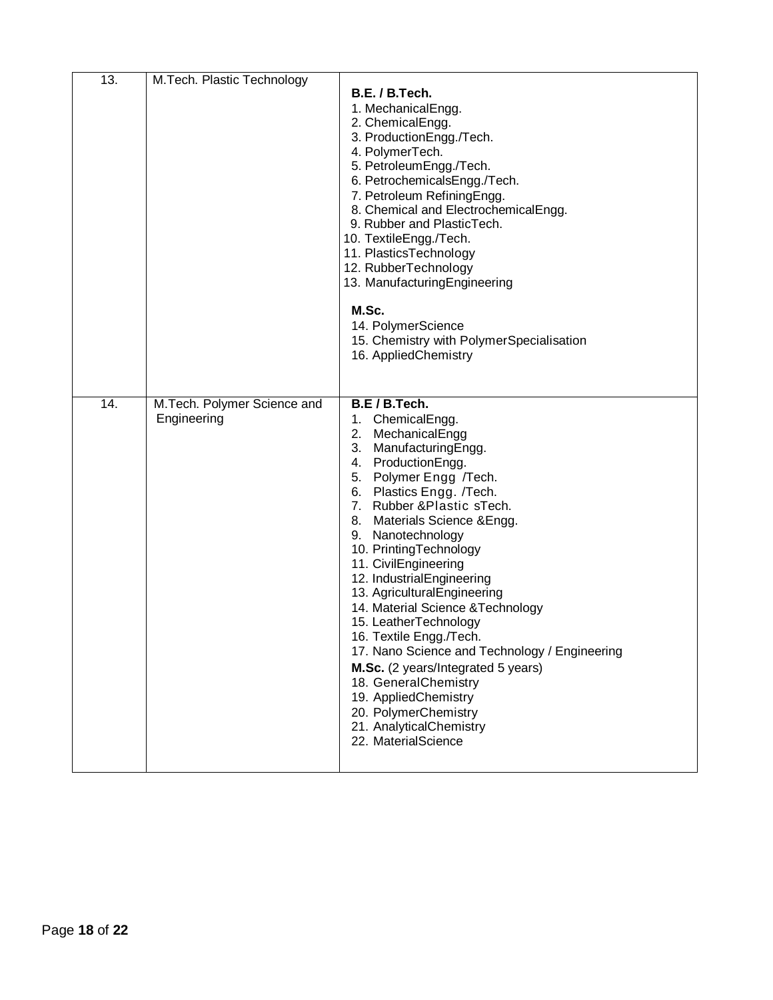| 13. | M.Tech. Plastic Technology                 | B.E. / B.Tech.<br>1. MechanicalEngg.<br>2. ChemicalEngg.<br>3. ProductionEngg./Tech.<br>4. PolymerTech.<br>5. PetroleumEngg./Tech.<br>6. PetrochemicalsEngg./Tech.<br>7. Petroleum RefiningEngg.<br>8. Chemical and ElectrochemicalEngg.<br>9. Rubber and PlasticTech.<br>10. TextileEngg./Tech.<br>11. PlasticsTechnology<br>12. RubberTechnology<br>13. ManufacturingEngineering<br>M.Sc.<br>14. PolymerScience<br>15. Chemistry with PolymerSpecialisation<br>16. AppliedChemistry                                                                                                                                                                                        |
|-----|--------------------------------------------|------------------------------------------------------------------------------------------------------------------------------------------------------------------------------------------------------------------------------------------------------------------------------------------------------------------------------------------------------------------------------------------------------------------------------------------------------------------------------------------------------------------------------------------------------------------------------------------------------------------------------------------------------------------------------|
| 14. | M.Tech. Polymer Science and<br>Engineering | B.E / B.Tech.<br>1. ChemicalEngg.<br>2.<br>MechanicalEngg<br>3.<br>ManufacturingEngg.<br>4. ProductionEngg.<br>5. Polymer Engg /Tech.<br>6. Plastics Engg. /Tech.<br>7. Rubber & Plastic sTech.<br>8. Materials Science & Engg.<br>9. Nanotechnology<br>10. PrintingTechnology<br>11. CivilEngineering<br>12. IndustrialEngineering<br>13. AgriculturalEngineering<br>14. Material Science & Technology<br>15. LeatherTechnology<br>16. Textile Engg./Tech.<br>17. Nano Science and Technology / Engineering<br>M.Sc. (2 years/Integrated 5 years)<br>18. GeneralChemistry<br>19. AppliedChemistry<br>20. PolymerChemistry<br>21. AnalyticalChemistry<br>22. MaterialScience |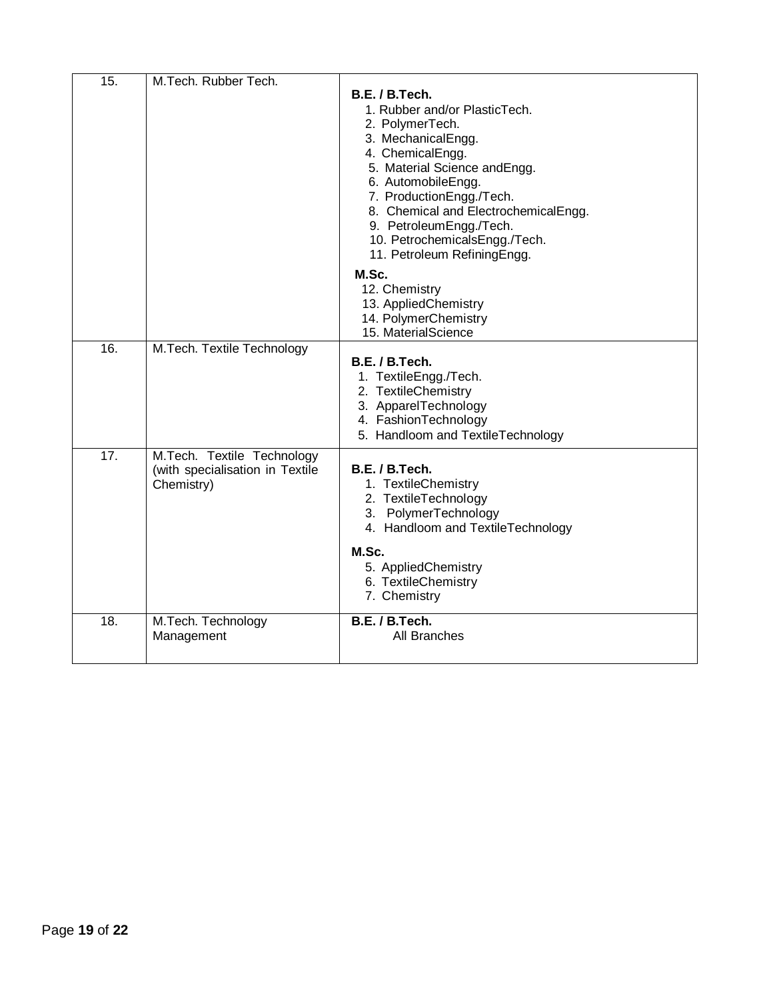| 15.               | M.Tech. Rubber Tech.            |                                      |
|-------------------|---------------------------------|--------------------------------------|
|                   |                                 | B.E. / B.Tech.                       |
|                   |                                 | 1. Rubber and/or PlasticTech.        |
|                   |                                 | 2. PolymerTech.                      |
|                   |                                 | 3. MechanicalEngg.                   |
|                   |                                 | 4. ChemicalEngg.                     |
|                   |                                 | 5. Material Science andEngg.         |
|                   |                                 | 6. AutomobileEngg.                   |
|                   |                                 | 7. ProductionEngg./Tech.             |
|                   |                                 | 8. Chemical and ElectrochemicalEngg. |
|                   |                                 | 9. PetroleumEngg./Tech.              |
|                   |                                 | 10. PetrochemicalsEngg./Tech.        |
|                   |                                 | 11. Petroleum RefiningEngg.          |
|                   |                                 | M.Sc.                                |
|                   |                                 | 12. Chemistry                        |
|                   |                                 | 13. AppliedChemistry                 |
|                   |                                 | 14. PolymerChemistry                 |
|                   |                                 | 15. MaterialScience                  |
| 16.               | M.Tech. Textile Technology      |                                      |
|                   |                                 | B.E. / B.Tech.                       |
|                   |                                 | 1. TextileEngg./Tech.                |
|                   |                                 | 2. TextileChemistry                  |
|                   |                                 | 3. ApparelTechnology                 |
|                   |                                 | 4. FashionTechnology                 |
|                   |                                 | 5. Handloom and TextileTechnology    |
| $\overline{17}$ . | M.Tech. Textile Technology      |                                      |
|                   | (with specialisation in Textile | B.E. / B.Tech.                       |
|                   | Chemistry)                      | 1. TextileChemistry                  |
|                   |                                 | 2. TextileTechnology                 |
|                   |                                 | 3. PolymerTechnology                 |
|                   |                                 | 4. Handloom and TextileTechnology    |
|                   |                                 | M.Sc.                                |
|                   |                                 | 5. AppliedChemistry                  |
|                   |                                 | 6. TextileChemistry                  |
|                   |                                 | 7. Chemistry                         |
| 18.               | M.Tech. Technology              | B.E. / B.Tech.                       |
|                   | Management                      | All Branches                         |
|                   |                                 |                                      |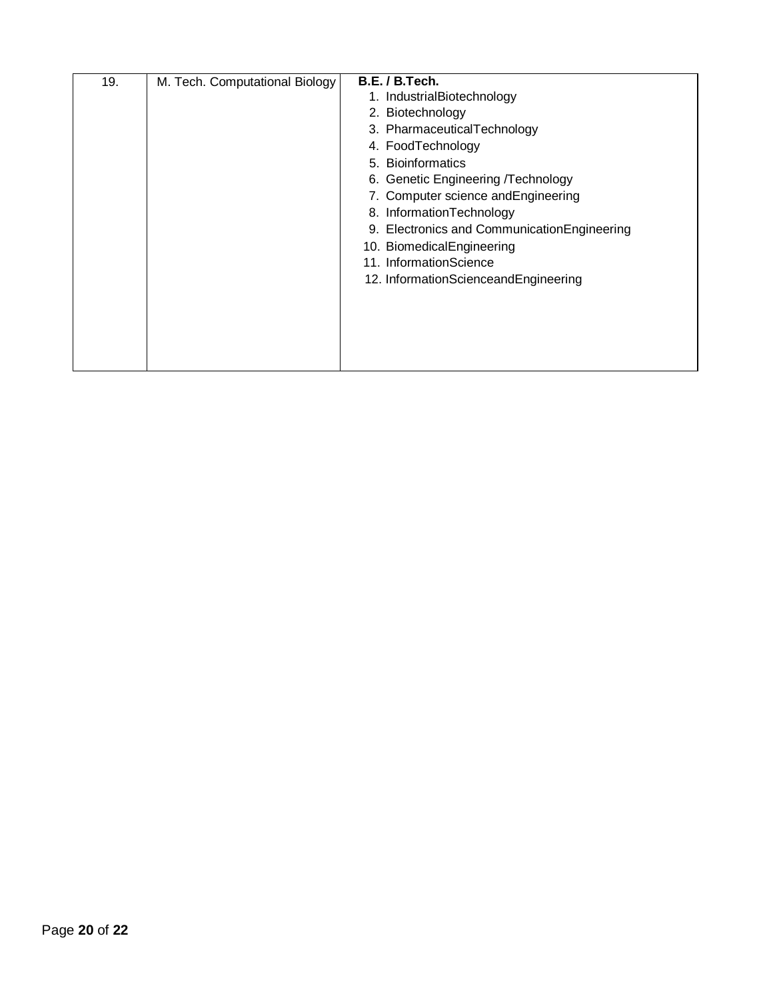| 19. | M. Tech. Computational Biology | B.E. / B.Tech.                               |
|-----|--------------------------------|----------------------------------------------|
|     |                                | 1. IndustrialBiotechnology                   |
|     |                                | 2. Biotechnology                             |
|     |                                | 3. PharmaceuticalTechnology                  |
|     |                                | 4. FoodTechnology                            |
|     |                                | 5. Bioinformatics                            |
|     |                                | 6. Genetic Engineering /Technology           |
|     |                                | 7. Computer science and Engineering          |
|     |                                | 8. InformationTechnology                     |
|     |                                | 9. Electronics and Communication Engineering |
|     |                                | 10. BiomedicalEngineering                    |
|     |                                | 11. InformationScience                       |
|     |                                | 12. InformationScienceandEngineering         |
|     |                                |                                              |
|     |                                |                                              |
|     |                                |                                              |
|     |                                |                                              |
|     |                                |                                              |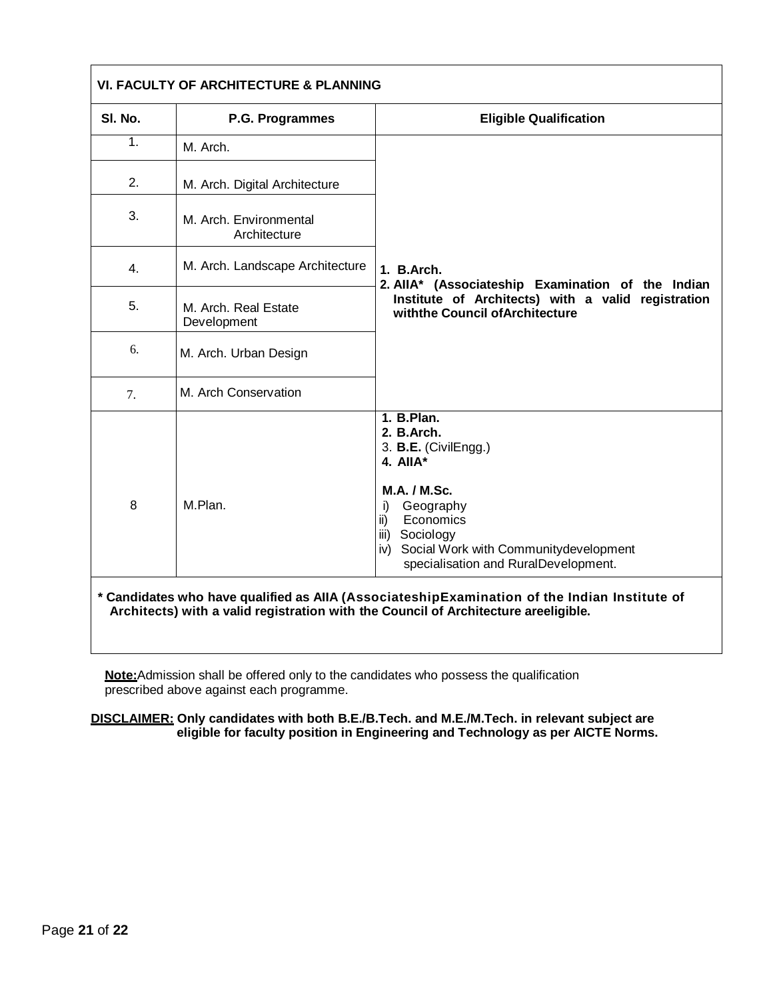| SI. No. | P.G. Programmes                        | <b>Eligible Qualification</b>                                                                                                                                                                                                                |  |
|---------|----------------------------------------|----------------------------------------------------------------------------------------------------------------------------------------------------------------------------------------------------------------------------------------------|--|
| 1.      | M. Arch.                               | 1. B.Arch.                                                                                                                                                                                                                                   |  |
| 2.      | M. Arch. Digital Architecture          |                                                                                                                                                                                                                                              |  |
| 3.      | M. Arch. Environmental<br>Architecture |                                                                                                                                                                                                                                              |  |
| 4.      | M. Arch. Landscape Architecture        |                                                                                                                                                                                                                                              |  |
| 5.      | M. Arch. Real Estate<br>Development    | 2. AllA* (Associateship Examination of the Indian<br>Institute of Architects) with a valid registration<br>withthe Council of Architecture                                                                                                   |  |
| 6.      | M. Arch. Urban Design                  |                                                                                                                                                                                                                                              |  |
| 7.      | M. Arch Conservation                   |                                                                                                                                                                                                                                              |  |
| 8       | M.Plan.                                | 1. B. Plan.<br>2. B.Arch.<br>3. B.E. (CivilEngg.)<br>4. All $A^*$<br><b>M.A. / M.Sc.</b><br>Geography<br>i)<br>Economics<br>ii)<br>Sociology<br>iii)<br>Social Work with Communitydevelopment<br>iv)<br>specialisation and RuralDevelopment. |  |

**Note:**Admission shall be offered only to the candidates who possess the qualification prescribed above against each programme.

**DISCLAIMER: Only candidates with both B.E./B.Tech. and M.E./M.Tech. in relevant subject are eligible for faculty position in Engineering and Technology as per AICTE Norms.**